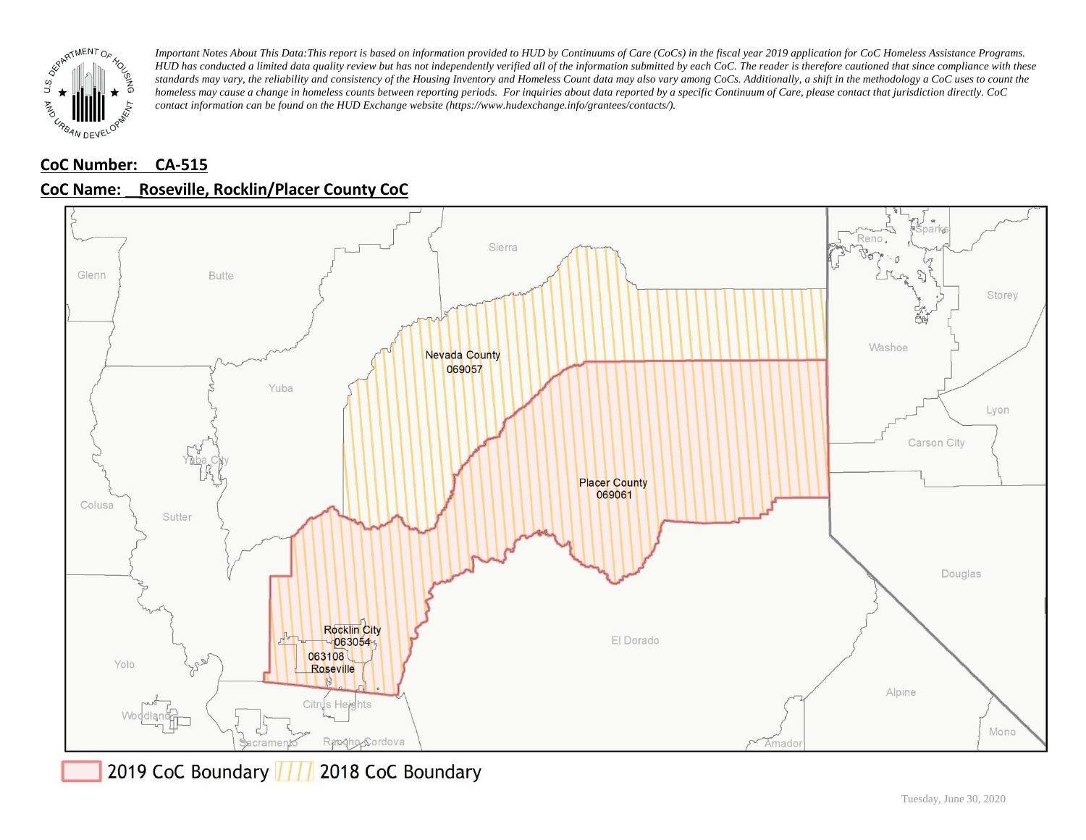

# **CoC Number: CA-515 CoC Name: \_\_ Roseville, Rocklin/Placer County CoC**



2019 CoC Boundary | | | 2018 CoC Boundary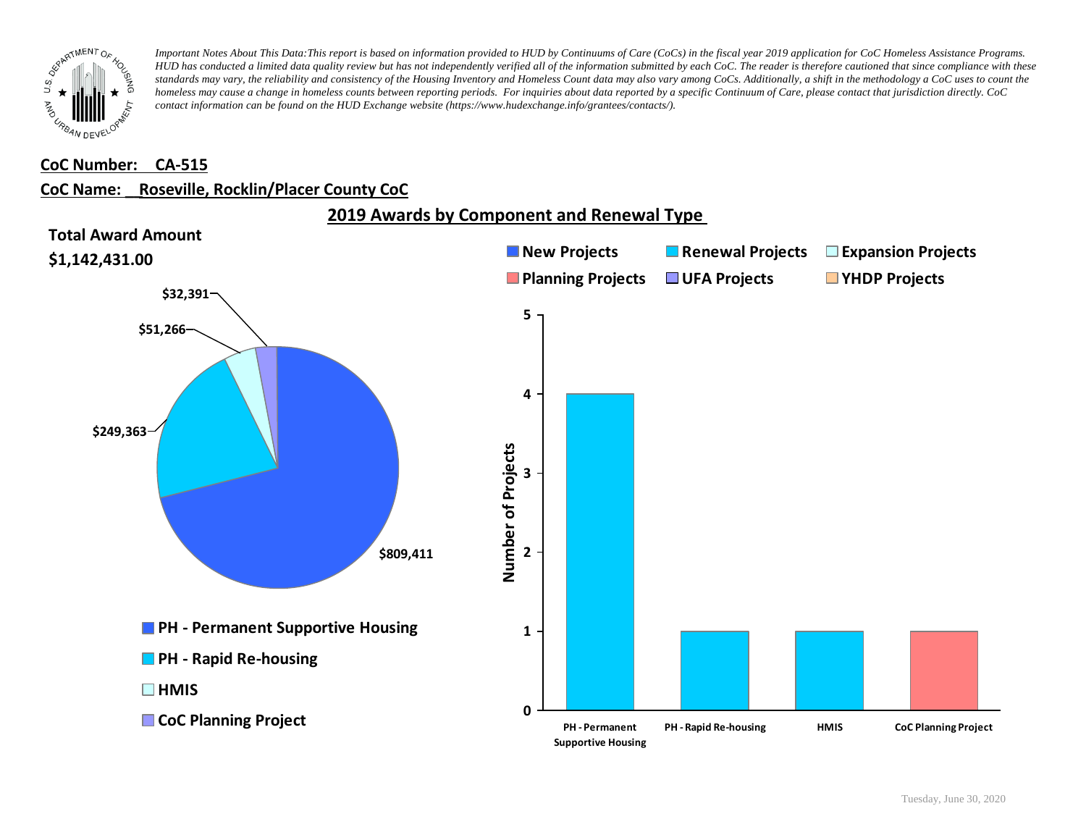

#### **CoC Number: CA-515**

### **CoC Name: \_\_ Roseville, Rocklin/Placer County CoC**

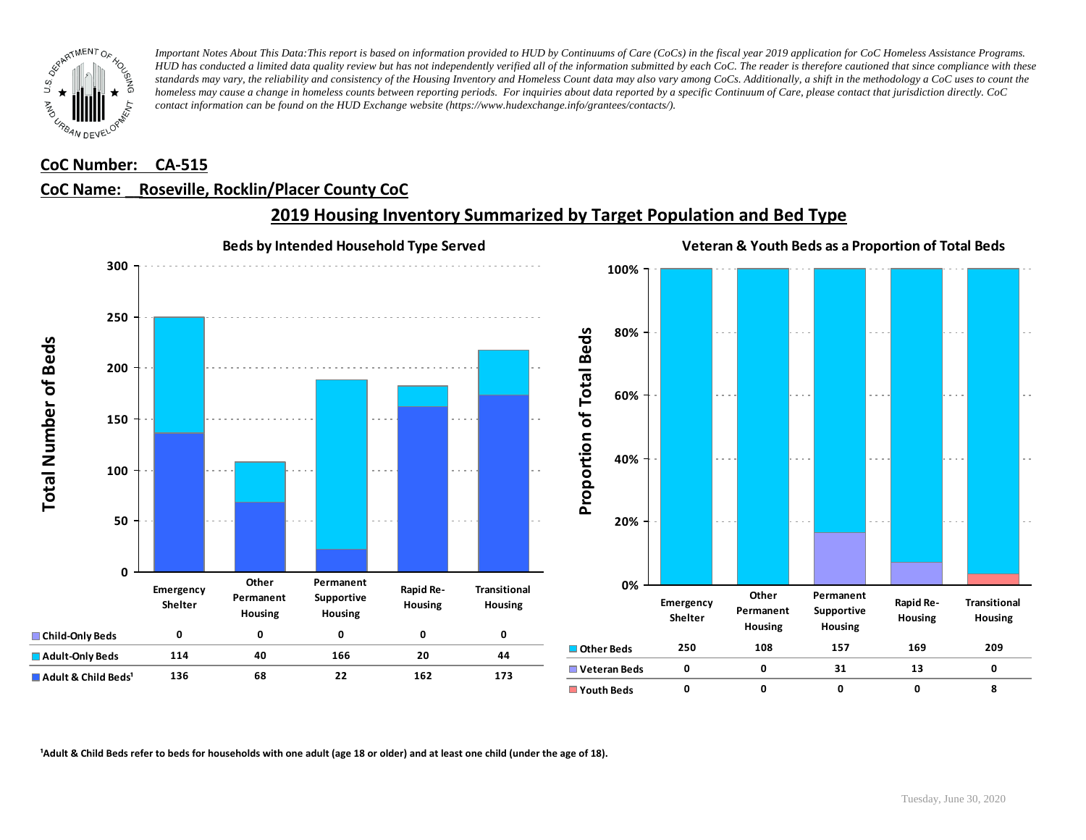

### **CoC Number: CA-515**

### **CoC Name: \_\_ Roseville, Rocklin/Placer County CoC**



## **2019 Housing Inventory Summarized by Target Population and Bed Type**

<sup>1</sup> Adult & Child Beds refer to beds for households with one adult (age 18 or older) and at least one child (under the age of 18).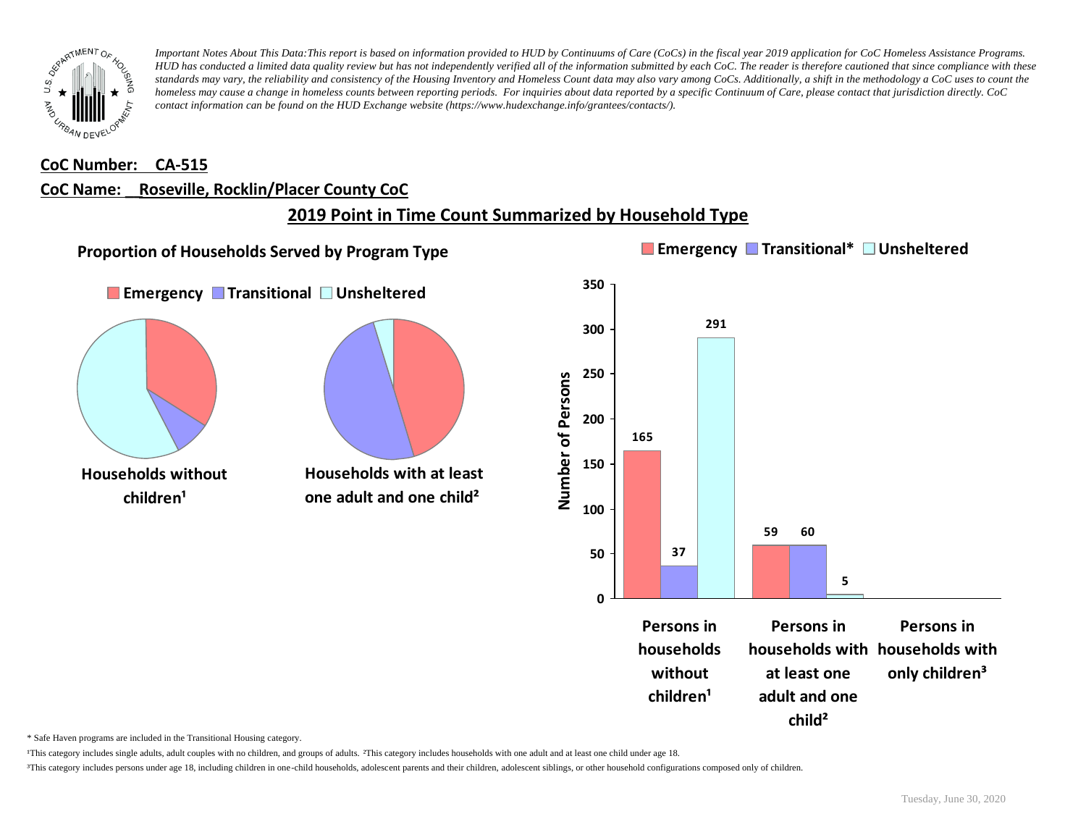

#### **CoC Number: CA-515**

#### **CoC Name: \_\_ Roseville, Rocklin/Placer County CoC**

## **2019 Point in Time Count Summarized by Household Type**



\* Safe Haven programs are included in the Transitional Housing category.

¹This category includes single adults, adult couples with no children, and groups of adults. ²This category includes households with one adult and at least one child under age 18.

³This category includes persons under age 18, including children in one-child households, adolescent parents and their children, adolescent siblings, or other household configurations composed only of children.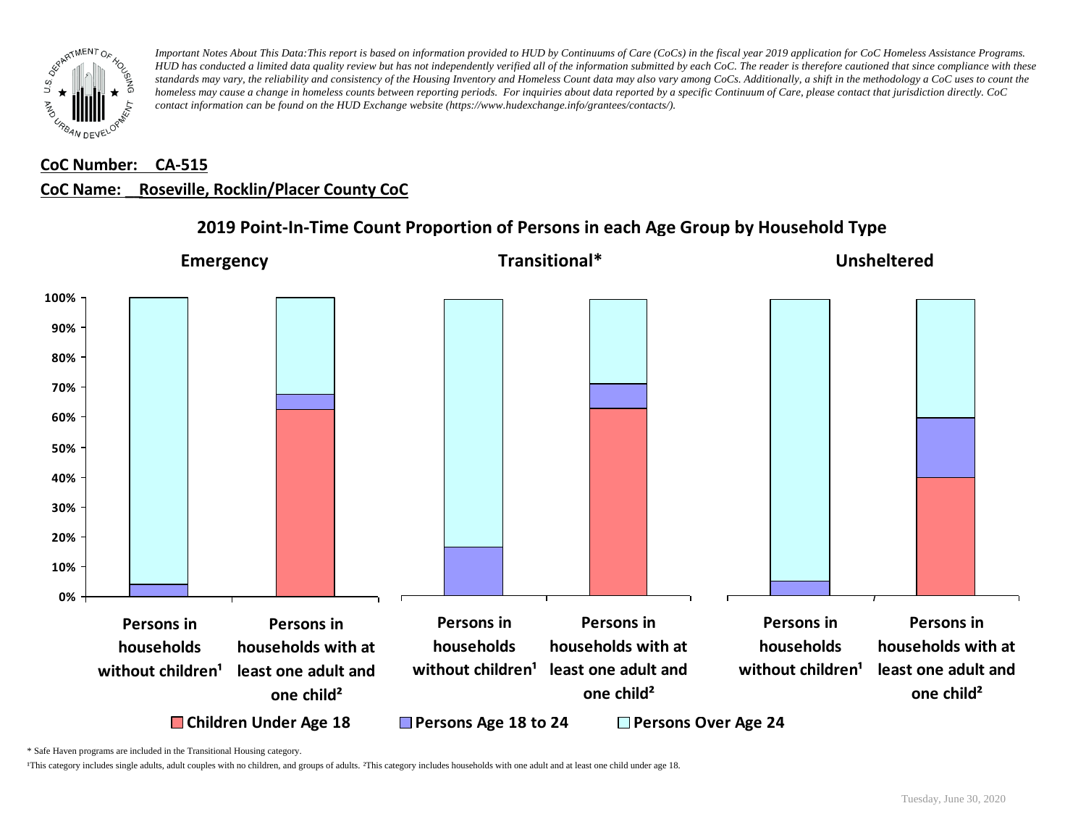

# **CoC Number: CA-515 CoC Name: \_\_ Roseville, Rocklin/Placer County CoC**



## **2019 Point-In-Time Count Proportion of Persons in each Age Group by Household Type**

\* Safe Haven programs are included in the Transitional Housing category.

¹This category includes single adults, adult couples with no children, and groups of adults. ²This category includes households with one adult and at least one child under age 18.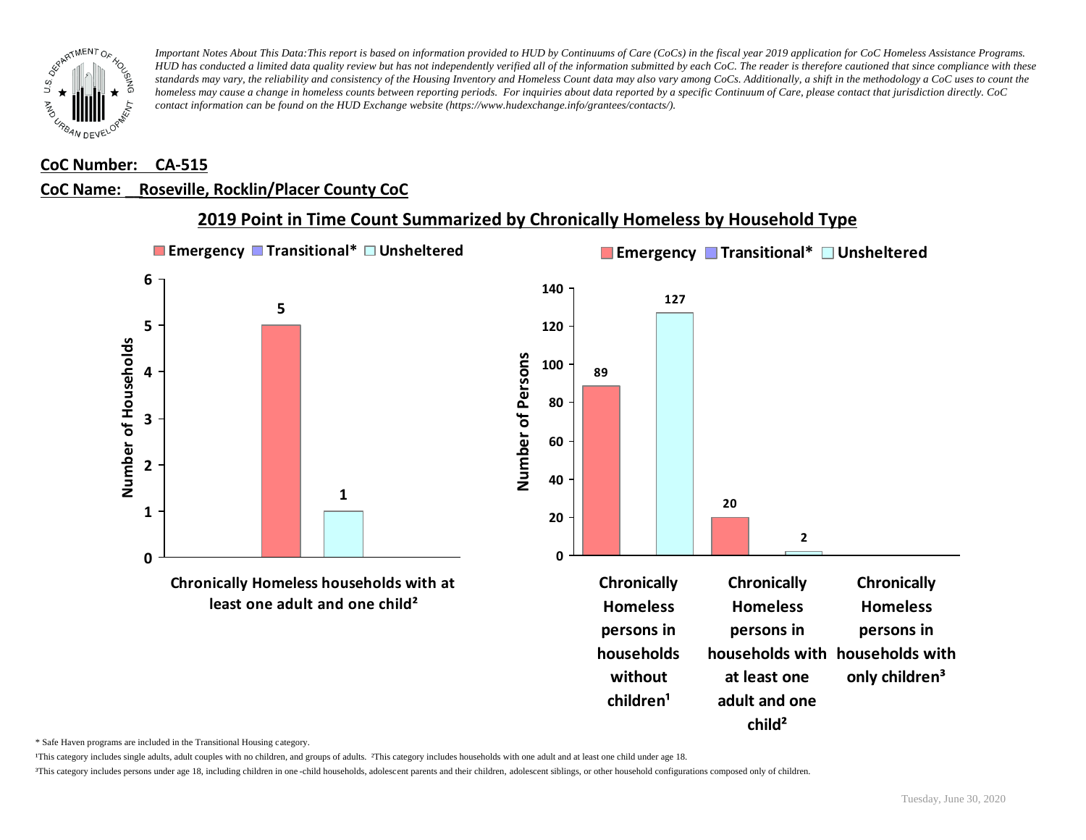

#### **CoC Number: CA-515**

### **CoC Name: \_\_ Roseville, Rocklin/Placer County CoC**



**2019 Point in Time Count Summarized by Chronically Homeless by Household Type**

\* Safe Haven programs are included in the Transitional Housing category.

¹This category includes single adults, adult couples with no children, and groups of adults. ²This category includes households with one adult and at least one child under age 18.

³This category includes persons under age 18, including children in one -child households, adolescent parents and their children, adolescent siblings, or other household configurations composed only of children.